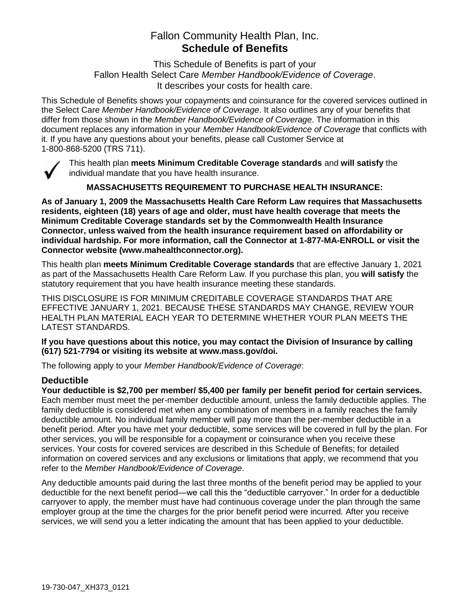# Fallon Community Health Plan, Inc. **Schedule of Benefits**

This Schedule of Benefits is part of your Fallon Health Select Care *Member Handbook/Evidence of Coverage*. It describes your costs for health care.

This Schedule of Benefits shows your copayments and coinsurance for the covered services outlined in the Select Care *Member Handbook/Evidence of Coverage*. It also outlines any of your benefits that differ from those shown in the *Member Handbook/Evidence of Coverage*. The information in this document replaces any information in your *Member Handbook/Evidence of Coverage* that conflicts with it. If you have any questions about your benefits, please call Customer Service at 1-800-868-5200 (TRS 711).



This health plan **meets Minimum Creditable Coverage standards** and **will satisfy** the individual mandate that you have health insurance.

**MASSACHUSETTS REQUIREMENT TO PURCHASE HEALTH INSURANCE:**

**As of January 1, 2009 the Massachusetts Health Care Reform Law requires that Massachusetts residents, eighteen (18) years of age and older, must have health coverage that meets the Minimum Creditable Coverage standards set by the Commonwealth Health Insurance Connector, unless waived from the health insurance requirement based on affordability or individual hardship. For more information, call the Connector at 1-877-MA-ENROLL or visit the Connector website (www.mahealthconnector.org).**

This health plan **meets Minimum Creditable Coverage standards** that are effective January 1, 2021 as part of the Massachusetts Health Care Reform Law. If you purchase this plan, you **will satisfy** the statutory requirement that you have health insurance meeting these standards.

THIS DISCLOSURE IS FOR MINIMUM CREDITABLE COVERAGE STANDARDS THAT ARE EFFECTIVE JANUARY 1, 2021. BECAUSE THESE STANDARDS MAY CHANGE, REVIEW YOUR HEALTH PLAN MATERIAL EACH YEAR TO DETERMINE WHETHER YOUR PLAN MEETS THE LATEST STANDARDS.

**If you have questions about this notice, you may contact the Division of Insurance by calling (617) 521-7794 or visiting its website at www.mass.gov/doi.** 

The following apply to your *Member Handbook/Evidence of Coverage*:

## **Deductible**

**Your deductible is \$2,700 per member/ \$5,400 per family per benefit period for certain services.** Each member must meet the per-member deductible amount, unless the family deductible applies. The family deductible is considered met when any combination of members in a family reaches the family deductible amount. No individual family member will pay more than the per-member deductible in a benefit period. After you have met your deductible, some services will be covered in full by the plan. For other services, you will be responsible for a copayment or coinsurance when you receive these services. Your costs for covered services are described in this Schedule of Benefits; for detailed information on covered services and any exclusions or limitations that apply, we recommend that you refer to the *Member Handbook/Evidence of Coverage*.

Any deductible amounts paid during the last three months of the benefit period may be applied to your deductible for the next benefit period—we call this the "deductible carryover." In order for a deductible carryover to apply, the member must have had continuous coverage under the plan through the same employer group at the time the charges for the prior benefit period were incurred. After you receive services, we will send you a letter indicating the amount that has been applied to your deductible.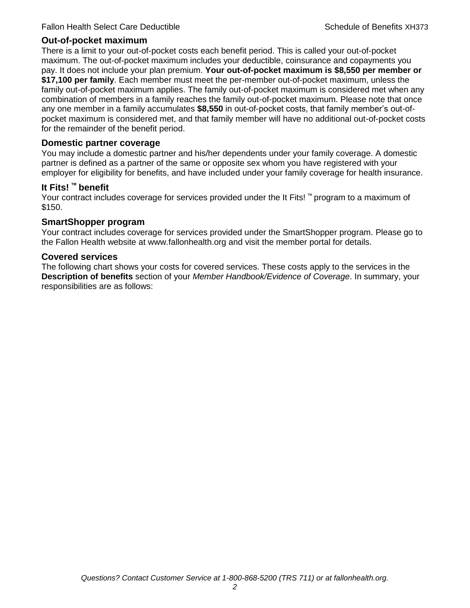#### **Out-of-pocket maximum**

There is a limit to your out-of-pocket costs each benefit period. This is called your out-of-pocket maximum. The out-of-pocket maximum includes your deductible, coinsurance and copayments you pay. It does not include your plan premium. **Your out-of-pocket maximum is \$8,550 per member or \$17,100 per family**. Each member must meet the per-member out-of-pocket maximum, unless the family out-of-pocket maximum applies. The family out-of-pocket maximum is considered met when any combination of members in a family reaches the family out-of-pocket maximum. Please note that once any one member in a family accumulates **\$8,550** in out-of-pocket costs, that family member's out-ofpocket maximum is considered met, and that family member will have no additional out-of-pocket costs for the remainder of the benefit period.

#### **Domestic partner coverage**

You may include a domestic partner and his/her dependents under your family coverage. A domestic partner is defined as a partner of the same or opposite sex whom you have registered with your employer for eligibility for benefits, and have included under your family coverage for health insurance.

#### **It Fits! ™ benefit**

Your contract includes coverage for services provided under the It Fits! ™ program to a maximum of \$150.

#### **SmartShopper program**

Your contract includes coverage for services provided under the SmartShopper program. Please go to the Fallon Health website at www.fallonhealth.org and visit the member portal for details.

#### **Covered services**

The following chart shows your costs for covered services. These costs apply to the services in the **Description of benefits** section of your *Member Handbook/Evidence of Coverage*. In summary, your responsibilities are as follows: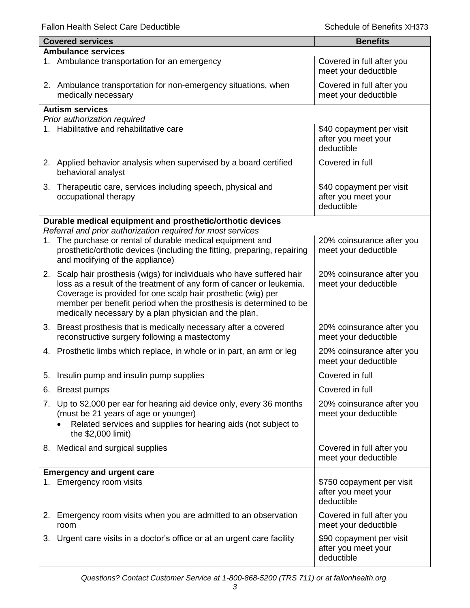|                           | <b>Covered services</b>                                                                                                                                                                                                                                                                                                                      | <b>Benefits</b>                                                |  |
|---------------------------|----------------------------------------------------------------------------------------------------------------------------------------------------------------------------------------------------------------------------------------------------------------------------------------------------------------------------------------------|----------------------------------------------------------------|--|
| <b>Ambulance services</b> |                                                                                                                                                                                                                                                                                                                                              |                                                                |  |
|                           | 1. Ambulance transportation for an emergency                                                                                                                                                                                                                                                                                                 | Covered in full after you<br>meet your deductible              |  |
|                           | 2. Ambulance transportation for non-emergency situations, when<br>medically necessary                                                                                                                                                                                                                                                        | Covered in full after you<br>meet your deductible              |  |
|                           | <b>Autism services</b>                                                                                                                                                                                                                                                                                                                       |                                                                |  |
|                           | Prior authorization required<br>1. Habilitative and rehabilitative care                                                                                                                                                                                                                                                                      | \$40 copayment per visit<br>after you meet your<br>deductible  |  |
|                           | 2. Applied behavior analysis when supervised by a board certified<br>behavioral analyst                                                                                                                                                                                                                                                      | Covered in full                                                |  |
| 3.                        | Therapeutic care, services including speech, physical and<br>occupational therapy                                                                                                                                                                                                                                                            | \$40 copayment per visit<br>after you meet your<br>deductible  |  |
|                           | Durable medical equipment and prosthetic/orthotic devices                                                                                                                                                                                                                                                                                    |                                                                |  |
| 1.                        | Referral and prior authorization required for most services<br>The purchase or rental of durable medical equipment and<br>prosthetic/orthotic devices (including the fitting, preparing, repairing<br>and modifying of the appliance)                                                                                                        | 20% coinsurance after you<br>meet your deductible              |  |
|                           | 2. Scalp hair prosthesis (wigs) for individuals who have suffered hair<br>loss as a result of the treatment of any form of cancer or leukemia.<br>Coverage is provided for one scalp hair prosthetic (wig) per<br>member per benefit period when the prosthesis is determined to be<br>medically necessary by a plan physician and the plan. | 20% coinsurance after you<br>meet your deductible              |  |
|                           | 3. Breast prosthesis that is medically necessary after a covered<br>reconstructive surgery following a mastectomy                                                                                                                                                                                                                            | 20% coinsurance after you<br>meet your deductible              |  |
|                           | 4. Prosthetic limbs which replace, in whole or in part, an arm or leg                                                                                                                                                                                                                                                                        | 20% coinsurance after you<br>meet your deductible              |  |
| 5.                        | Insulin pump and insulin pump supplies                                                                                                                                                                                                                                                                                                       | Covered in full                                                |  |
| 6.                        | <b>Breast pumps</b>                                                                                                                                                                                                                                                                                                                          | Covered in full                                                |  |
| 7.                        | Up to \$2,000 per ear for hearing aid device only, every 36 months<br>(must be 21 years of age or younger)<br>Related services and supplies for hearing aids (not subject to<br>the \$2,000 limit)                                                                                                                                           | 20% coinsurance after you<br>meet your deductible              |  |
|                           | 8. Medical and surgical supplies                                                                                                                                                                                                                                                                                                             | Covered in full after you<br>meet your deductible              |  |
|                           | <b>Emergency and urgent care</b>                                                                                                                                                                                                                                                                                                             |                                                                |  |
|                           | 1. Emergency room visits                                                                                                                                                                                                                                                                                                                     | \$750 copayment per visit<br>after you meet your<br>deductible |  |
| 2.                        | Emergency room visits when you are admitted to an observation<br>room                                                                                                                                                                                                                                                                        | Covered in full after you<br>meet your deductible              |  |
| 3.                        | Urgent care visits in a doctor's office or at an urgent care facility                                                                                                                                                                                                                                                                        | \$90 copayment per visit<br>after you meet your<br>deductible  |  |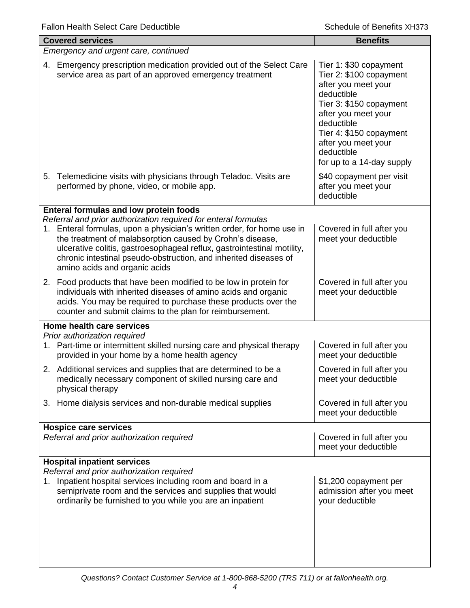|                                      | <b>Covered services</b>                                                                                                                                                                                                                                                                                                                                                                                                         | <b>Benefits</b>                                                                                                                                                                                                                                     |
|--------------------------------------|---------------------------------------------------------------------------------------------------------------------------------------------------------------------------------------------------------------------------------------------------------------------------------------------------------------------------------------------------------------------------------------------------------------------------------|-----------------------------------------------------------------------------------------------------------------------------------------------------------------------------------------------------------------------------------------------------|
| Emergency and urgent care, continued |                                                                                                                                                                                                                                                                                                                                                                                                                                 |                                                                                                                                                                                                                                                     |
| 4.                                   | Emergency prescription medication provided out of the Select Care<br>service area as part of an approved emergency treatment                                                                                                                                                                                                                                                                                                    | Tier 1: \$30 copayment<br>Tier 2: \$100 copayment<br>after you meet your<br>deductible<br>Tier 3: \$150 copayment<br>after you meet your<br>deductible<br>Tier 4: \$150 copayment<br>after you meet your<br>deductible<br>for up to a 14-day supply |
| 5.                                   | Telemedicine visits with physicians through Teladoc. Visits are<br>performed by phone, video, or mobile app.                                                                                                                                                                                                                                                                                                                    | \$40 copayment per visit<br>after you meet your<br>deductible                                                                                                                                                                                       |
|                                      | Enteral formulas and low protein foods<br>Referral and prior authorization required for enteral formulas<br>1. Enteral formulas, upon a physician's written order, for home use in<br>the treatment of malabsorption caused by Crohn's disease,<br>ulcerative colitis, gastroesophageal reflux, gastrointestinal motility,<br>chronic intestinal pseudo-obstruction, and inherited diseases of<br>amino acids and organic acids | Covered in full after you<br>meet your deductible                                                                                                                                                                                                   |
|                                      | 2. Food products that have been modified to be low in protein for<br>individuals with inherited diseases of amino acids and organic<br>acids. You may be required to purchase these products over the<br>counter and submit claims to the plan for reimbursement.                                                                                                                                                               | Covered in full after you<br>meet your deductible                                                                                                                                                                                                   |
|                                      | Home health care services                                                                                                                                                                                                                                                                                                                                                                                                       |                                                                                                                                                                                                                                                     |
|                                      | Prior authorization required<br>1. Part-time or intermittent skilled nursing care and physical therapy<br>provided in your home by a home health agency                                                                                                                                                                                                                                                                         | Covered in full after you<br>meet your deductible                                                                                                                                                                                                   |
|                                      | 2. Additional services and supplies that are determined to be a<br>medically necessary component of skilled nursing care and<br>physical therapy                                                                                                                                                                                                                                                                                | Covered in full after you<br>meet your deductible                                                                                                                                                                                                   |
| 3.                                   | Home dialysis services and non-durable medical supplies                                                                                                                                                                                                                                                                                                                                                                         | Covered in full after you<br>meet your deductible                                                                                                                                                                                                   |
|                                      | <b>Hospice care services</b><br>Referral and prior authorization required                                                                                                                                                                                                                                                                                                                                                       | Covered in full after you<br>meet your deductible                                                                                                                                                                                                   |
|                                      | <b>Hospital inpatient services</b><br>Referral and prior authorization required                                                                                                                                                                                                                                                                                                                                                 |                                                                                                                                                                                                                                                     |
| 1.                                   | Inpatient hospital services including room and board in a<br>semiprivate room and the services and supplies that would<br>ordinarily be furnished to you while you are an inpatient                                                                                                                                                                                                                                             | \$1,200 copayment per<br>admission after you meet<br>your deductible                                                                                                                                                                                |
|                                      |                                                                                                                                                                                                                                                                                                                                                                                                                                 |                                                                                                                                                                                                                                                     |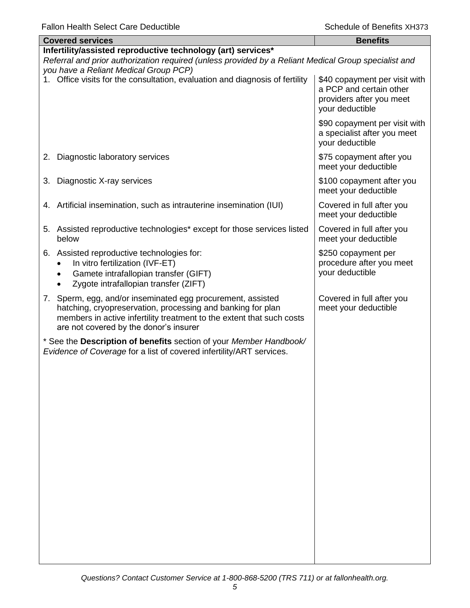| <b>Covered services</b>                                                                                                                                                                                       |                                                                                                                                                                                                                                               | <b>Benefits</b>                                                                                         |
|---------------------------------------------------------------------------------------------------------------------------------------------------------------------------------------------------------------|-----------------------------------------------------------------------------------------------------------------------------------------------------------------------------------------------------------------------------------------------|---------------------------------------------------------------------------------------------------------|
| Infertility/assisted reproductive technology (art) services*<br>Referral and prior authorization required (unless provided by a Reliant Medical Group specialist and<br>you have a Reliant Medical Group PCP) |                                                                                                                                                                                                                                               |                                                                                                         |
|                                                                                                                                                                                                               | 1. Office visits for the consultation, evaluation and diagnosis of fertility                                                                                                                                                                  | \$40 copayment per visit with<br>a PCP and certain other<br>providers after you meet<br>your deductible |
|                                                                                                                                                                                                               |                                                                                                                                                                                                                                               | \$90 copayment per visit with<br>a specialist after you meet<br>your deductible                         |
| 2.                                                                                                                                                                                                            | Diagnostic laboratory services                                                                                                                                                                                                                | \$75 copayment after you<br>meet your deductible                                                        |
| 3.                                                                                                                                                                                                            | Diagnostic X-ray services                                                                                                                                                                                                                     | \$100 copayment after you<br>meet your deductible                                                       |
| 4.                                                                                                                                                                                                            | Artificial insemination, such as intrauterine insemination (IUI)                                                                                                                                                                              | Covered in full after you<br>meet your deductible                                                       |
| below                                                                                                                                                                                                         | 5. Assisted reproductive technologies* except for those services listed                                                                                                                                                                       | Covered in full after you<br>meet your deductible                                                       |
|                                                                                                                                                                                                               | 6. Assisted reproductive technologies for:<br>In vitro fertilization (IVF-ET)<br>Gamete intrafallopian transfer (GIFT)<br>Zygote intrafallopian transfer (ZIFT)                                                                               | \$250 copayment per<br>procedure after you meet<br>your deductible                                      |
|                                                                                                                                                                                                               | 7. Sperm, egg, and/or inseminated egg procurement, assisted<br>hatching, cryopreservation, processing and banking for plan<br>members in active infertility treatment to the extent that such costs<br>are not covered by the donor's insurer | Covered in full after you<br>meet your deductible                                                       |
|                                                                                                                                                                                                               | * See the Description of benefits section of your Member Handbook/<br>Evidence of Coverage for a list of covered infertility/ART services.                                                                                                    |                                                                                                         |
|                                                                                                                                                                                                               |                                                                                                                                                                                                                                               |                                                                                                         |
|                                                                                                                                                                                                               |                                                                                                                                                                                                                                               |                                                                                                         |
|                                                                                                                                                                                                               |                                                                                                                                                                                                                                               |                                                                                                         |
|                                                                                                                                                                                                               |                                                                                                                                                                                                                                               |                                                                                                         |
|                                                                                                                                                                                                               |                                                                                                                                                                                                                                               |                                                                                                         |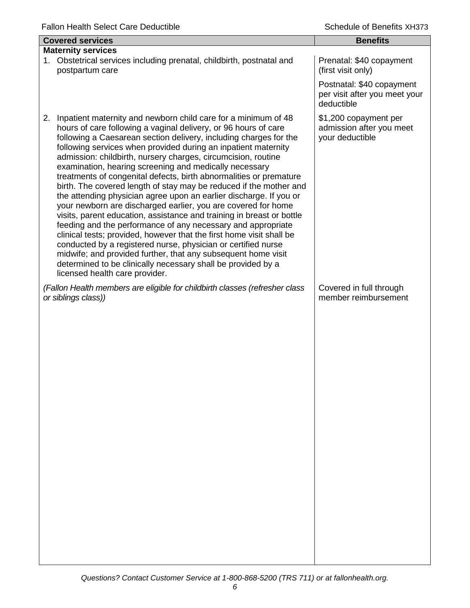| <b>Covered services</b>                                                                                                                                                                                                                                                                                                                                                                                                                                                                                                                                                                                                                                                                                                                                                                                                                                                                                                                                                                                                                                                                                                                           | <b>Benefits</b>                                                          |
|---------------------------------------------------------------------------------------------------------------------------------------------------------------------------------------------------------------------------------------------------------------------------------------------------------------------------------------------------------------------------------------------------------------------------------------------------------------------------------------------------------------------------------------------------------------------------------------------------------------------------------------------------------------------------------------------------------------------------------------------------------------------------------------------------------------------------------------------------------------------------------------------------------------------------------------------------------------------------------------------------------------------------------------------------------------------------------------------------------------------------------------------------|--------------------------------------------------------------------------|
| <b>Maternity services</b><br>Obstetrical services including prenatal, childbirth, postnatal and<br>1.<br>postpartum care                                                                                                                                                                                                                                                                                                                                                                                                                                                                                                                                                                                                                                                                                                                                                                                                                                                                                                                                                                                                                          | Prenatal: \$40 copayment<br>(first visit only)                           |
|                                                                                                                                                                                                                                                                                                                                                                                                                                                                                                                                                                                                                                                                                                                                                                                                                                                                                                                                                                                                                                                                                                                                                   | Postnatal: \$40 copayment<br>per visit after you meet your<br>deductible |
| Inpatient maternity and newborn child care for a minimum of 48<br>2.<br>hours of care following a vaginal delivery, or 96 hours of care<br>following a Caesarean section delivery, including charges for the<br>following services when provided during an inpatient maternity<br>admission: childbirth, nursery charges, circumcision, routine<br>examination, hearing screening and medically necessary<br>treatments of congenital defects, birth abnormalities or premature<br>birth. The covered length of stay may be reduced if the mother and<br>the attending physician agree upon an earlier discharge. If you or<br>your newborn are discharged earlier, you are covered for home<br>visits, parent education, assistance and training in breast or bottle<br>feeding and the performance of any necessary and appropriate<br>clinical tests; provided, however that the first home visit shall be<br>conducted by a registered nurse, physician or certified nurse<br>midwife; and provided further, that any subsequent home visit<br>determined to be clinically necessary shall be provided by a<br>licensed health care provider. | \$1,200 copayment per<br>admission after you meet<br>your deductible     |
| (Fallon Health members are eligible for childbirth classes (refresher class<br>or siblings class))                                                                                                                                                                                                                                                                                                                                                                                                                                                                                                                                                                                                                                                                                                                                                                                                                                                                                                                                                                                                                                                | Covered in full through<br>member reimbursement                          |
|                                                                                                                                                                                                                                                                                                                                                                                                                                                                                                                                                                                                                                                                                                                                                                                                                                                                                                                                                                                                                                                                                                                                                   |                                                                          |
|                                                                                                                                                                                                                                                                                                                                                                                                                                                                                                                                                                                                                                                                                                                                                                                                                                                                                                                                                                                                                                                                                                                                                   |                                                                          |
|                                                                                                                                                                                                                                                                                                                                                                                                                                                                                                                                                                                                                                                                                                                                                                                                                                                                                                                                                                                                                                                                                                                                                   |                                                                          |
|                                                                                                                                                                                                                                                                                                                                                                                                                                                                                                                                                                                                                                                                                                                                                                                                                                                                                                                                                                                                                                                                                                                                                   |                                                                          |
|                                                                                                                                                                                                                                                                                                                                                                                                                                                                                                                                                                                                                                                                                                                                                                                                                                                                                                                                                                                                                                                                                                                                                   |                                                                          |
|                                                                                                                                                                                                                                                                                                                                                                                                                                                                                                                                                                                                                                                                                                                                                                                                                                                                                                                                                                                                                                                                                                                                                   |                                                                          |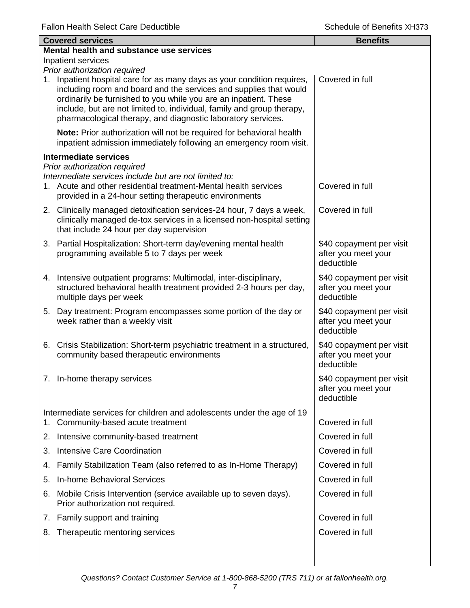| <b>Covered services</b> |                                                                                                                                                                                                                                                                                                                                                                                            | <b>Benefits</b>                                               |  |  |
|-------------------------|--------------------------------------------------------------------------------------------------------------------------------------------------------------------------------------------------------------------------------------------------------------------------------------------------------------------------------------------------------------------------------------------|---------------------------------------------------------------|--|--|
|                         | Mental health and substance use services<br>Inpatient services                                                                                                                                                                                                                                                                                                                             |                                                               |  |  |
|                         | Prior authorization required<br>1. Inpatient hospital care for as many days as your condition requires,<br>including room and board and the services and supplies that would<br>ordinarily be furnished to you while you are an inpatient. These<br>include, but are not limited to, individual, family and group therapy,<br>pharmacological therapy, and diagnostic laboratory services. | Covered in full                                               |  |  |
|                         | Note: Prior authorization will not be required for behavioral health<br>inpatient admission immediately following an emergency room visit.                                                                                                                                                                                                                                                 |                                                               |  |  |
|                         | Intermediate services                                                                                                                                                                                                                                                                                                                                                                      |                                                               |  |  |
|                         | Prior authorization required<br>Intermediate services include but are not limited to:<br>1. Acute and other residential treatment-Mental health services<br>provided in a 24-hour setting therapeutic environments                                                                                                                                                                         | Covered in full                                               |  |  |
|                         | 2. Clinically managed detoxification services-24 hour, 7 days a week,<br>clinically managed de-tox services in a licensed non-hospital setting<br>that include 24 hour per day supervision                                                                                                                                                                                                 | Covered in full                                               |  |  |
|                         | 3. Partial Hospitalization: Short-term day/evening mental health<br>programming available 5 to 7 days per week                                                                                                                                                                                                                                                                             | \$40 copayment per visit<br>after you meet your<br>deductible |  |  |
|                         | 4. Intensive outpatient programs: Multimodal, inter-disciplinary,<br>structured behavioral health treatment provided 2-3 hours per day,<br>multiple days per week                                                                                                                                                                                                                          | \$40 copayment per visit<br>after you meet your<br>deductible |  |  |
|                         | 5. Day treatment: Program encompasses some portion of the day or<br>week rather than a weekly visit                                                                                                                                                                                                                                                                                        | \$40 copayment per visit<br>after you meet your<br>deductible |  |  |
|                         | 6. Crisis Stabilization: Short-term psychiatric treatment in a structured,<br>community based therapeutic environments                                                                                                                                                                                                                                                                     | \$40 copayment per visit<br>after you meet your<br>deductible |  |  |
|                         | 7. In-home therapy services                                                                                                                                                                                                                                                                                                                                                                | \$40 copayment per visit<br>after you meet your<br>deductible |  |  |
| 1.                      | Intermediate services for children and adolescents under the age of 19<br>Community-based acute treatment                                                                                                                                                                                                                                                                                  | Covered in full                                               |  |  |
|                         | 2. Intensive community-based treatment                                                                                                                                                                                                                                                                                                                                                     | Covered in full                                               |  |  |
| 3.                      | <b>Intensive Care Coordination</b>                                                                                                                                                                                                                                                                                                                                                         | Covered in full                                               |  |  |
| 4.                      | Family Stabilization Team (also referred to as In-Home Therapy)                                                                                                                                                                                                                                                                                                                            | Covered in full                                               |  |  |
| 5.                      | In-home Behavioral Services                                                                                                                                                                                                                                                                                                                                                                | Covered in full                                               |  |  |
| 6.                      | Mobile Crisis Intervention (service available up to seven days).<br>Prior authorization not required.                                                                                                                                                                                                                                                                                      | Covered in full                                               |  |  |
|                         | 7. Family support and training                                                                                                                                                                                                                                                                                                                                                             | Covered in full                                               |  |  |
| 8.                      | Therapeutic mentoring services                                                                                                                                                                                                                                                                                                                                                             | Covered in full                                               |  |  |
|                         |                                                                                                                                                                                                                                                                                                                                                                                            |                                                               |  |  |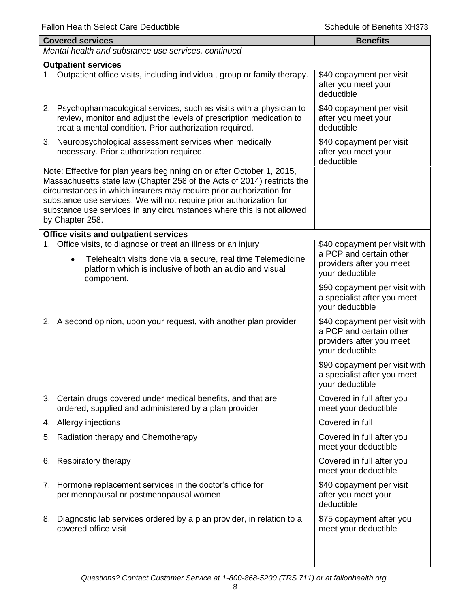| <b>Covered services</b>                                                                                                                                                                                                                                                                                                                                                                    | <b>Benefits</b>                                                                                         |
|--------------------------------------------------------------------------------------------------------------------------------------------------------------------------------------------------------------------------------------------------------------------------------------------------------------------------------------------------------------------------------------------|---------------------------------------------------------------------------------------------------------|
| Mental health and substance use services, continued                                                                                                                                                                                                                                                                                                                                        |                                                                                                         |
| <b>Outpatient services</b><br>1. Outpatient office visits, including individual, group or family therapy.                                                                                                                                                                                                                                                                                  | \$40 copayment per visit<br>after you meet your<br>deductible                                           |
| 2. Psychopharmacological services, such as visits with a physician to<br>review, monitor and adjust the levels of prescription medication to<br>treat a mental condition. Prior authorization required.                                                                                                                                                                                    | \$40 copayment per visit<br>after you meet your<br>deductible                                           |
| 3. Neuropsychological assessment services when medically<br>necessary. Prior authorization required.                                                                                                                                                                                                                                                                                       | \$40 copayment per visit<br>after you meet your<br>deductible                                           |
| Note: Effective for plan years beginning on or after October 1, 2015,<br>Massachusetts state law (Chapter 258 of the Acts of 2014) restricts the<br>circumstances in which insurers may require prior authorization for<br>substance use services. We will not require prior authorization for<br>substance use services in any circumstances where this is not allowed<br>by Chapter 258. |                                                                                                         |
| Office visits and outpatient services                                                                                                                                                                                                                                                                                                                                                      |                                                                                                         |
| Office visits, to diagnose or treat an illness or an injury<br>1.<br>Telehealth visits done via a secure, real time Telemedicine<br>$\bullet$<br>platform which is inclusive of both an audio and visual<br>component.                                                                                                                                                                     | \$40 copayment per visit with<br>a PCP and certain other<br>providers after you meet<br>your deductible |
|                                                                                                                                                                                                                                                                                                                                                                                            | \$90 copayment per visit with<br>a specialist after you meet<br>your deductible                         |
| 2. A second opinion, upon your request, with another plan provider                                                                                                                                                                                                                                                                                                                         | \$40 copayment per visit with<br>a PCP and certain other<br>providers after you meet<br>your deductible |
|                                                                                                                                                                                                                                                                                                                                                                                            | \$90 copayment per visit with<br>a specialist after you meet<br>your deductible                         |
| 3. Certain drugs covered under medical benefits, and that are<br>ordered, supplied and administered by a plan provider                                                                                                                                                                                                                                                                     | Covered in full after you<br>meet your deductible                                                       |
| 4. Allergy injections                                                                                                                                                                                                                                                                                                                                                                      | Covered in full                                                                                         |
| Radiation therapy and Chemotherapy<br>5.                                                                                                                                                                                                                                                                                                                                                   | Covered in full after you<br>meet your deductible                                                       |
| Respiratory therapy<br>6.                                                                                                                                                                                                                                                                                                                                                                  | Covered in full after you<br>meet your deductible                                                       |
| 7. Hormone replacement services in the doctor's office for<br>perimenopausal or postmenopausal women                                                                                                                                                                                                                                                                                       | \$40 copayment per visit<br>after you meet your<br>deductible                                           |
| 8. Diagnostic lab services ordered by a plan provider, in relation to a<br>covered office visit                                                                                                                                                                                                                                                                                            | \$75 copayment after you<br>meet your deductible                                                        |
|                                                                                                                                                                                                                                                                                                                                                                                            |                                                                                                         |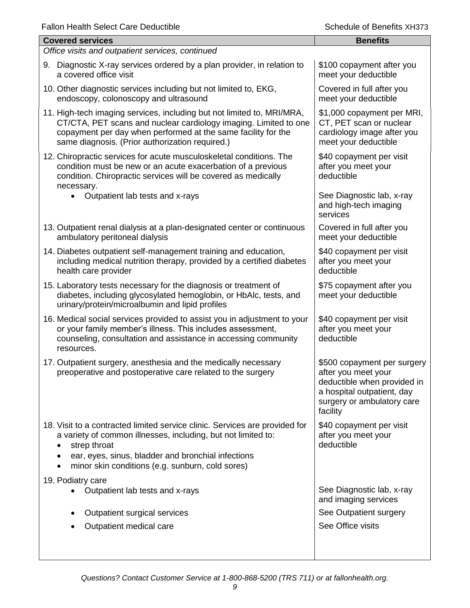| <b>Covered services</b>                                                                                                                                                                                                                                                | <b>Benefits</b>                                                                                                                                           |  |
|------------------------------------------------------------------------------------------------------------------------------------------------------------------------------------------------------------------------------------------------------------------------|-----------------------------------------------------------------------------------------------------------------------------------------------------------|--|
| Office visits and outpatient services, continued                                                                                                                                                                                                                       |                                                                                                                                                           |  |
| 9. Diagnostic X-ray services ordered by a plan provider, in relation to<br>a covered office visit                                                                                                                                                                      | \$100 copayment after you<br>meet your deductible                                                                                                         |  |
| 10. Other diagnostic services including but not limited to, EKG,<br>endoscopy, colonoscopy and ultrasound                                                                                                                                                              | Covered in full after you<br>meet your deductible                                                                                                         |  |
| 11. High-tech imaging services, including but not limited to, MRI/MRA,<br>CT/CTA, PET scans and nuclear cardiology imaging. Limited to one<br>copayment per day when performed at the same facility for the<br>same diagnosis. (Prior authorization required.)         | \$1,000 copayment per MRI,<br>CT, PET scan or nuclear<br>cardiology image after you<br>meet your deductible                                               |  |
| 12. Chiropractic services for acute musculoskeletal conditions. The<br>condition must be new or an acute exacerbation of a previous<br>condition. Chiropractic services will be covered as medically<br>necessary.                                                     | \$40 copayment per visit<br>after you meet your<br>deductible                                                                                             |  |
| Outpatient lab tests and x-rays                                                                                                                                                                                                                                        | See Diagnostic lab, x-ray<br>and high-tech imaging<br>services                                                                                            |  |
| 13. Outpatient renal dialysis at a plan-designated center or continuous<br>ambulatory peritoneal dialysis                                                                                                                                                              | Covered in full after you<br>meet your deductible                                                                                                         |  |
| 14. Diabetes outpatient self-management training and education,<br>including medical nutrition therapy, provided by a certified diabetes<br>health care provider                                                                                                       | \$40 copayment per visit<br>after you meet your<br>deductible                                                                                             |  |
| 15. Laboratory tests necessary for the diagnosis or treatment of<br>diabetes, including glycosylated hemoglobin, or HbAlc, tests, and<br>urinary/protein/microalbumin and lipid profiles                                                                               | \$75 copayment after you<br>meet your deductible                                                                                                          |  |
| 16. Medical social services provided to assist you in adjustment to your<br>or your family member's illness. This includes assessment,<br>counseling, consultation and assistance in accessing community<br>resources.                                                 | \$40 copayment per visit<br>after you meet your<br>deductible                                                                                             |  |
| 17. Outpatient surgery, anesthesia and the medically necessary<br>preoperative and postoperative care related to the surgery                                                                                                                                           | \$500 copayment per surgery<br>after you meet your<br>deductible when provided in<br>a hospital outpatient, day<br>surgery or ambulatory care<br>facility |  |
| 18. Visit to a contracted limited service clinic. Services are provided for<br>a variety of common illnesses, including, but not limited to:<br>strep throat<br>ear, eyes, sinus, bladder and bronchial infections<br>minor skin conditions (e.g. sunburn, cold sores) | \$40 copayment per visit<br>after you meet your<br>deductible                                                                                             |  |
| 19. Podiatry care                                                                                                                                                                                                                                                      |                                                                                                                                                           |  |
| Outpatient lab tests and x-rays                                                                                                                                                                                                                                        | See Diagnostic lab, x-ray<br>and imaging services                                                                                                         |  |
| Outpatient surgical services                                                                                                                                                                                                                                           | See Outpatient surgery                                                                                                                                    |  |
| Outpatient medical care                                                                                                                                                                                                                                                | See Office visits                                                                                                                                         |  |
|                                                                                                                                                                                                                                                                        |                                                                                                                                                           |  |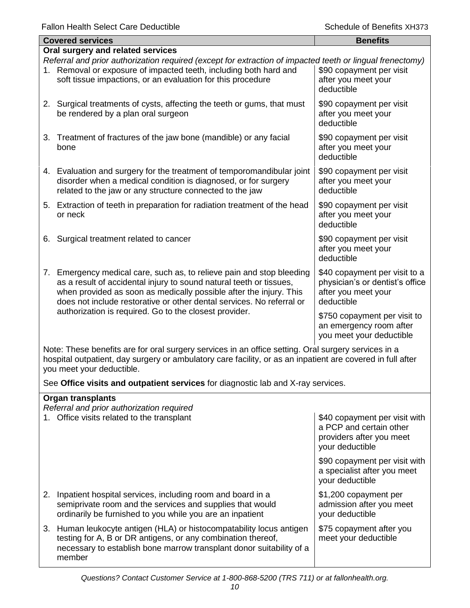| <b>Covered services</b>                                                                                                                                                                                                                                                                        | <b>Benefits</b>                                                                                       |  |
|------------------------------------------------------------------------------------------------------------------------------------------------------------------------------------------------------------------------------------------------------------------------------------------------|-------------------------------------------------------------------------------------------------------|--|
| Oral surgery and related services                                                                                                                                                                                                                                                              |                                                                                                       |  |
| Referral and prior authorization required (except for extraction of impacted teeth or lingual frenectomy)<br>1. Removal or exposure of impacted teeth, including both hard and<br>soft tissue impactions, or an evaluation for this procedure                                                  | \$90 copayment per visit<br>after you meet your<br>deductible                                         |  |
| 2. Surgical treatments of cysts, affecting the teeth or gums, that must<br>be rendered by a plan oral surgeon                                                                                                                                                                                  | \$90 copayment per visit<br>after you meet your<br>deductible                                         |  |
| 3. Treatment of fractures of the jaw bone (mandible) or any facial<br>bone                                                                                                                                                                                                                     | \$90 copayment per visit<br>after you meet your<br>deductible                                         |  |
| 4. Evaluation and surgery for the treatment of temporomandibular joint<br>disorder when a medical condition is diagnosed, or for surgery<br>related to the jaw or any structure connected to the jaw                                                                                           | \$90 copayment per visit<br>after you meet your<br>deductible                                         |  |
| 5. Extraction of teeth in preparation for radiation treatment of the head<br>or neck                                                                                                                                                                                                           | \$90 copayment per visit<br>after you meet your<br>deductible                                         |  |
| Surgical treatment related to cancer<br>6.                                                                                                                                                                                                                                                     | \$90 copayment per visit<br>after you meet your<br>deductible                                         |  |
| Emergency medical care, such as, to relieve pain and stop bleeding<br>7.<br>as a result of accidental injury to sound natural teeth or tissues,<br>when provided as soon as medically possible after the injury. This<br>does not include restorative or other dental services. No referral or | \$40 copayment per visit to a<br>physician's or dentist's office<br>after you meet your<br>deductible |  |
| authorization is required. Go to the closest provider.                                                                                                                                                                                                                                         | \$750 copayment per visit to<br>an emergency room after<br>you meet your deductible                   |  |
| Note: These benefits are for aral ourgery services in an office setting. Oral ourgery services in a                                                                                                                                                                                            |                                                                                                       |  |

Note: These benefits are for oral surgery services in an office setting. Oral surgery services in a hospital outpatient, day surgery or ambulatory care facility, or as an inpatient are covered in full after you meet your deductible.

See **Office visits and outpatient services** for diagnostic lab and X-ray services.

| Organ transplants<br>Referral and prior authorization required                                                                                                                                                         |                                                                                                         |  |  |
|------------------------------------------------------------------------------------------------------------------------------------------------------------------------------------------------------------------------|---------------------------------------------------------------------------------------------------------|--|--|
| 1. Office visits related to the transplant                                                                                                                                                                             | \$40 copayment per visit with<br>a PCP and certain other<br>providers after you meet<br>your deductible |  |  |
|                                                                                                                                                                                                                        | \$90 copayment per visit with<br>a specialist after you meet<br>your deductible                         |  |  |
| 2. Inpatient hospital services, including room and board in a<br>semiprivate room and the services and supplies that would<br>ordinarily be furnished to you while you are an inpatient                                | \$1,200 copayment per<br>admission after you meet<br>your deductible                                    |  |  |
| 3. Human leukocyte antigen (HLA) or histocompatability locus antigen<br>testing for A, B or DR antigens, or any combination thereof,<br>necessary to establish bone marrow transplant donor suitability of a<br>member | \$75 copayment after you<br>meet your deductible                                                        |  |  |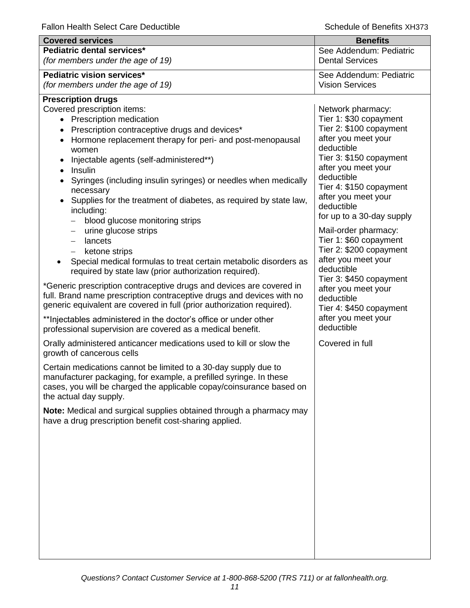| <b>Covered services</b>                                                                                                                                                                                                                                                                                                                                                                                                                                                                                                                                                                                                                                                                                                                                                                                                                                                                                                                                                                                                                                                                                                                                                                                                                                                                                                                                                                                                                                                                                                                                                             | <b>Benefits</b>                                                                                                                                                                                                                                                                                                                                                                                                                                                                                                                               |
|-------------------------------------------------------------------------------------------------------------------------------------------------------------------------------------------------------------------------------------------------------------------------------------------------------------------------------------------------------------------------------------------------------------------------------------------------------------------------------------------------------------------------------------------------------------------------------------------------------------------------------------------------------------------------------------------------------------------------------------------------------------------------------------------------------------------------------------------------------------------------------------------------------------------------------------------------------------------------------------------------------------------------------------------------------------------------------------------------------------------------------------------------------------------------------------------------------------------------------------------------------------------------------------------------------------------------------------------------------------------------------------------------------------------------------------------------------------------------------------------------------------------------------------------------------------------------------------|-----------------------------------------------------------------------------------------------------------------------------------------------------------------------------------------------------------------------------------------------------------------------------------------------------------------------------------------------------------------------------------------------------------------------------------------------------------------------------------------------------------------------------------------------|
| Pediatric dental services*<br>(for members under the age of 19)                                                                                                                                                                                                                                                                                                                                                                                                                                                                                                                                                                                                                                                                                                                                                                                                                                                                                                                                                                                                                                                                                                                                                                                                                                                                                                                                                                                                                                                                                                                     | See Addendum: Pediatric<br><b>Dental Services</b>                                                                                                                                                                                                                                                                                                                                                                                                                                                                                             |
|                                                                                                                                                                                                                                                                                                                                                                                                                                                                                                                                                                                                                                                                                                                                                                                                                                                                                                                                                                                                                                                                                                                                                                                                                                                                                                                                                                                                                                                                                                                                                                                     |                                                                                                                                                                                                                                                                                                                                                                                                                                                                                                                                               |
| Pediatric vision services*<br>(for members under the age of 19)                                                                                                                                                                                                                                                                                                                                                                                                                                                                                                                                                                                                                                                                                                                                                                                                                                                                                                                                                                                                                                                                                                                                                                                                                                                                                                                                                                                                                                                                                                                     | See Addendum: Pediatric<br><b>Vision Services</b>                                                                                                                                                                                                                                                                                                                                                                                                                                                                                             |
|                                                                                                                                                                                                                                                                                                                                                                                                                                                                                                                                                                                                                                                                                                                                                                                                                                                                                                                                                                                                                                                                                                                                                                                                                                                                                                                                                                                                                                                                                                                                                                                     |                                                                                                                                                                                                                                                                                                                                                                                                                                                                                                                                               |
| <b>Prescription drugs</b><br>Covered prescription items:<br>• Prescription medication<br>Prescription contraceptive drugs and devices*<br>Hormone replacement therapy for peri- and post-menopausal<br>women<br>Injectable agents (self-administered**)<br>Insulin<br>$\bullet$<br>Syringes (including insulin syringes) or needles when medically<br>necessary<br>Supplies for the treatment of diabetes, as required by state law,<br>including:<br>blood glucose monitoring strips<br>urine glucose strips<br>$\qquad \qquad -$<br>lancets<br>$\qquad \qquad -$<br>ketone strips<br>$\qquad \qquad -$<br>Special medical formulas to treat certain metabolic disorders as<br>required by state law (prior authorization required).<br>*Generic prescription contraceptive drugs and devices are covered in<br>full. Brand name prescription contraceptive drugs and devices with no<br>generic equivalent are covered in full (prior authorization required).<br>** Injectables administered in the doctor's office or under other<br>professional supervision are covered as a medical benefit.<br>Orally administered anticancer medications used to kill or slow the<br>growth of cancerous cells<br>Certain medications cannot be limited to a 30-day supply due to<br>manufacturer packaging, for example, a prefilled syringe. In these<br>cases, you will be charged the applicable copay/coinsurance based on<br>the actual day supply.<br>Note: Medical and surgical supplies obtained through a pharmacy may<br>have a drug prescription benefit cost-sharing applied. | Network pharmacy:<br>Tier 1: \$30 copayment<br>Tier 2: \$100 copayment<br>after you meet your<br>deductible<br>Tier 3: \$150 copayment<br>after you meet your<br>deductible<br>Tier 4: \$150 copayment<br>after you meet your<br>deductible<br>for up to a 30-day supply<br>Mail-order pharmacy:<br>Tier 1: \$60 copayment<br>Tier 2: \$200 copayment<br>after you meet your<br>deductible<br>Tier 3: \$450 copayment<br>after you meet your<br>deductible<br>Tier 4: \$450 copayment<br>after you meet your<br>deductible<br>Covered in full |
|                                                                                                                                                                                                                                                                                                                                                                                                                                                                                                                                                                                                                                                                                                                                                                                                                                                                                                                                                                                                                                                                                                                                                                                                                                                                                                                                                                                                                                                                                                                                                                                     |                                                                                                                                                                                                                                                                                                                                                                                                                                                                                                                                               |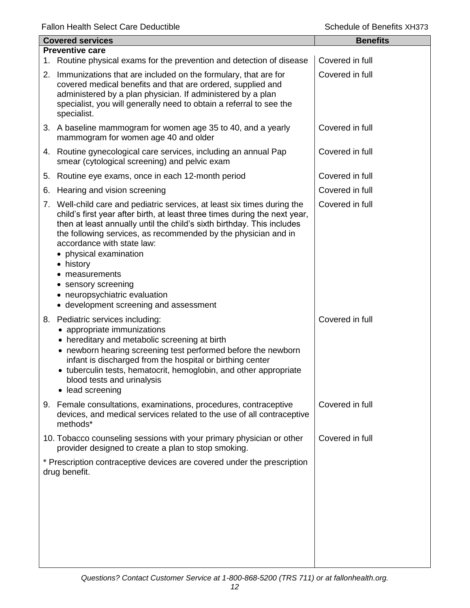| <b>Covered services</b> |                                                                                                                                                                                                                                                                                                                                                                                                                                                                                              | <b>Benefits</b> |
|-------------------------|----------------------------------------------------------------------------------------------------------------------------------------------------------------------------------------------------------------------------------------------------------------------------------------------------------------------------------------------------------------------------------------------------------------------------------------------------------------------------------------------|-----------------|
|                         | <b>Preventive care</b><br>1. Routine physical exams for the prevention and detection of disease                                                                                                                                                                                                                                                                                                                                                                                              | Covered in full |
|                         | 2. Immunizations that are included on the formulary, that are for<br>covered medical benefits and that are ordered, supplied and<br>administered by a plan physician. If administered by a plan<br>specialist, you will generally need to obtain a referral to see the<br>specialist.                                                                                                                                                                                                        | Covered in full |
|                         | 3. A baseline mammogram for women age 35 to 40, and a yearly<br>mammogram for women age 40 and older                                                                                                                                                                                                                                                                                                                                                                                         | Covered in full |
|                         | 4. Routine gynecological care services, including an annual Pap<br>smear (cytological screening) and pelvic exam                                                                                                                                                                                                                                                                                                                                                                             | Covered in full |
| 5.                      | Routine eye exams, once in each 12-month period                                                                                                                                                                                                                                                                                                                                                                                                                                              | Covered in full |
| 6.                      | Hearing and vision screening                                                                                                                                                                                                                                                                                                                                                                                                                                                                 | Covered in full |
|                         | 7. Well-child care and pediatric services, at least six times during the<br>child's first year after birth, at least three times during the next year,<br>then at least annually until the child's sixth birthday. This includes<br>the following services, as recommended by the physician and in<br>accordance with state law:<br>• physical examination<br>• history<br>measurements<br>sensory screening<br>٠<br>• neuropsychiatric evaluation<br>• development screening and assessment | Covered in full |
|                         | 8. Pediatric services including:<br>appropriate immunizations<br>• hereditary and metabolic screening at birth<br>• newborn hearing screening test performed before the newborn<br>infant is discharged from the hospital or birthing center<br>• tuberculin tests, hematocrit, hemoglobin, and other appropriate<br>blood tests and urinalysis<br>lead screening                                                                                                                            | Covered in full |
| 9.                      | Female consultations, examinations, procedures, contraceptive<br>devices, and medical services related to the use of all contraceptive<br>methods*                                                                                                                                                                                                                                                                                                                                           | Covered in full |
|                         | 10. Tobacco counseling sessions with your primary physician or other<br>provider designed to create a plan to stop smoking.                                                                                                                                                                                                                                                                                                                                                                  | Covered in full |
|                         | * Prescription contraceptive devices are covered under the prescription<br>drug benefit.                                                                                                                                                                                                                                                                                                                                                                                                     |                 |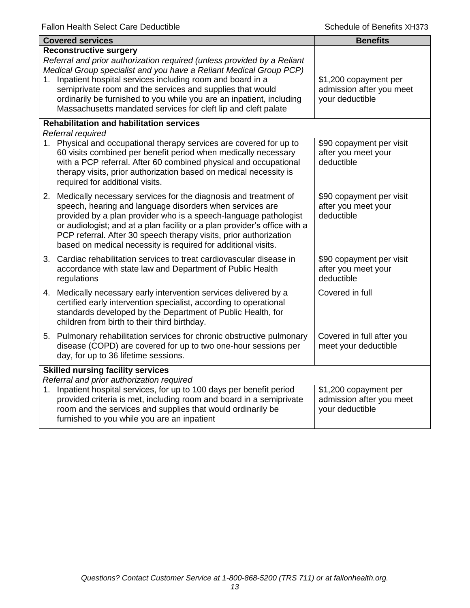| <b>Covered services</b> |                                                                                                                                                                                                                                                                                                                                                                                                                                                    | <b>Benefits</b>                                                      |
|-------------------------|----------------------------------------------------------------------------------------------------------------------------------------------------------------------------------------------------------------------------------------------------------------------------------------------------------------------------------------------------------------------------------------------------------------------------------------------------|----------------------------------------------------------------------|
| 1.                      | <b>Reconstructive surgery</b><br>Referral and prior authorization required (unless provided by a Reliant<br>Medical Group specialist and you have a Reliant Medical Group PCP)<br>Inpatient hospital services including room and board in a<br>semiprivate room and the services and supplies that would<br>ordinarily be furnished to you while you are an inpatient, including<br>Massachusetts mandated services for cleft lip and cleft palate | \$1,200 copayment per<br>admission after you meet<br>your deductible |
|                         | <b>Rehabilitation and habilitation services</b><br>Referral required<br>1. Physical and occupational therapy services are covered for up to<br>60 visits combined per benefit period when medically necessary<br>with a PCP referral. After 60 combined physical and occupational<br>therapy visits, prior authorization based on medical necessity is<br>required for additional visits.                                                          | \$90 copayment per visit<br>after you meet your<br>deductible        |
|                         | 2. Medically necessary services for the diagnosis and treatment of<br>speech, hearing and language disorders when services are<br>provided by a plan provider who is a speech-language pathologist<br>or audiologist; and at a plan facility or a plan provider's office with a<br>PCP referral. After 30 speech therapy visits, prior authorization<br>based on medical necessity is required for additional visits.                              | \$90 copayment per visit<br>after you meet your<br>deductible        |
|                         | 3. Cardiac rehabilitation services to treat cardiovascular disease in<br>accordance with state law and Department of Public Health<br>regulations                                                                                                                                                                                                                                                                                                  | \$90 copayment per visit<br>after you meet your<br>deductible        |
|                         | 4. Medically necessary early intervention services delivered by a<br>certified early intervention specialist, according to operational<br>standards developed by the Department of Public Health, for<br>children from birth to their third birthday.                                                                                                                                                                                              | Covered in full                                                      |
|                         | 5. Pulmonary rehabilitation services for chronic obstructive pulmonary<br>disease (COPD) are covered for up to two one-hour sessions per<br>day, for up to 36 lifetime sessions.                                                                                                                                                                                                                                                                   | Covered in full after you<br>meet your deductible                    |
| 1.                      | <b>Skilled nursing facility services</b><br>Referral and prior authorization required<br>Inpatient hospital services, for up to 100 days per benefit period<br>provided criteria is met, including room and board in a semiprivate<br>room and the services and supplies that would ordinarily be<br>furnished to you while you are an inpatient                                                                                                   | \$1,200 copayment per<br>admission after you meet<br>your deductible |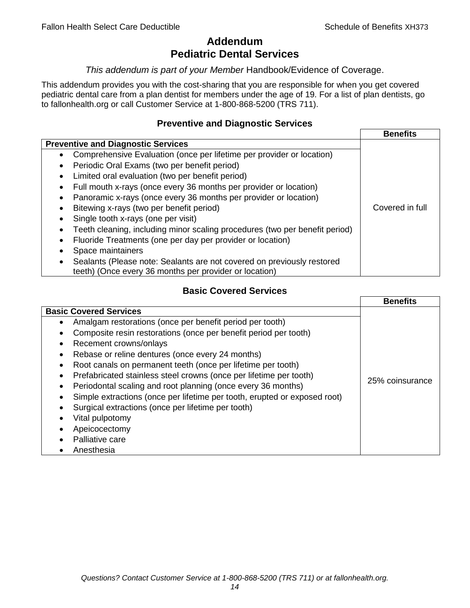## **Addendum Pediatric Dental Services**

#### *This addendum is part of your Member* Handbook/Evidence of Coverage.

This addendum provides you with the cost-sharing that you are responsible for when you get covered pediatric dental care from a plan dentist for members under the age of 19. For a list of plan dentists, go to fallonhealth.org or call Customer Service at 1-800-868-5200 (TRS 711).

## **Preventive and Diagnostic Services**

|                                                                                    | <b>Benefits</b> |
|------------------------------------------------------------------------------------|-----------------|
| <b>Preventive and Diagnostic Services</b>                                          |                 |
| Comprehensive Evaluation (once per lifetime per provider or location)<br>$\bullet$ |                 |
| Periodic Oral Exams (two per benefit period)<br>$\bullet$                          |                 |
| Limited oral evaluation (two per benefit period)<br>$\bullet$                      |                 |
| Full mouth x-rays (once every 36 months per provider or location)<br>٠             |                 |
| Panoramic x-rays (once every 36 months per provider or location)                   |                 |
| Bitewing x-rays (two per benefit period)<br>٠                                      | Covered in full |
| Single tooth x-rays (one per visit)                                                |                 |
| Teeth cleaning, including minor scaling procedures (two per benefit period)        |                 |
| Fluoride Treatments (one per day per provider or location)<br>٠                    |                 |
| Space maintainers                                                                  |                 |
| Sealants (Please note: Sealants are not covered on previously restored             |                 |
| teeth) (Once every 36 months per provider or location)                             |                 |

## **Basic Covered Services**

|                                                                                                                                                                                                                                                                                                                                            | <b>Benefits</b> |
|--------------------------------------------------------------------------------------------------------------------------------------------------------------------------------------------------------------------------------------------------------------------------------------------------------------------------------------------|-----------------|
| <b>Basic Covered Services</b><br>Amalgam restorations (once per benefit period per tooth)<br>Composite resin restorations (once per benefit period per tooth)<br>Recement crowns/onlays<br>Rebase or reline dentures (once every 24 months)<br>Root canals on permanent teeth (once per lifetime per tooth)                                |                 |
| Prefabricated stainless steel crowns (once per lifetime per tooth)<br>Periodontal scaling and root planning (once every 36 months)<br>Simple extractions (once per lifetime per tooth, erupted or exposed root)<br>Surgical extractions (once per lifetime per tooth)<br>Vital pulpotomy<br>Apeicocectomy<br>Palliative care<br>Anesthesia | 25% coinsurance |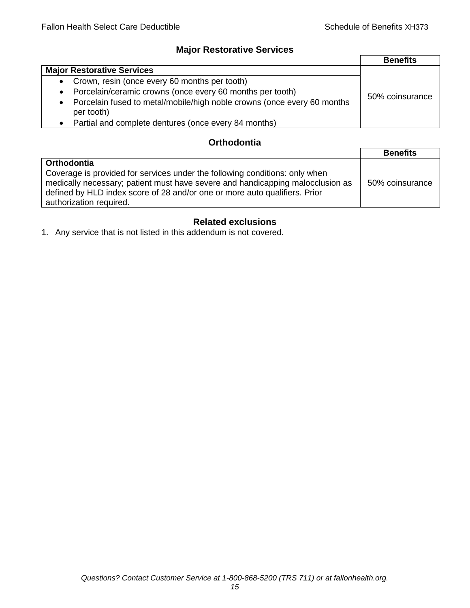## **Major Restorative Services**

|                                                                                                    | <b>Benefits</b> |
|----------------------------------------------------------------------------------------------------|-----------------|
| <b>Major Restorative Services</b>                                                                  |                 |
| • Crown, resin (once every 60 months per tooth)                                                    |                 |
| Porcelain/ceramic crowns (once every 60 months per tooth)<br>$\bullet$                             | 50% coinsurance |
| Porcelain fused to metal/mobile/high noble crowns (once every 60 months<br>$\bullet$<br>per tooth) |                 |
| Partial and complete dentures (once every 84 months)<br>$\bullet$                                  |                 |

## **Orthodontia**

|                                                                                                                                                                                                                                                                        | <b>Benefits</b> |
|------------------------------------------------------------------------------------------------------------------------------------------------------------------------------------------------------------------------------------------------------------------------|-----------------|
| <b>Orthodontia</b>                                                                                                                                                                                                                                                     |                 |
| Coverage is provided for services under the following conditions: only when<br>medically necessary; patient must have severe and handicapping malocclusion as<br>defined by HLD index score of 28 and/or one or more auto qualifiers. Prior<br>authorization required. | 50% coinsurance |

## **Related exclusions**

1. Any service that is not listed in this addendum is not covered.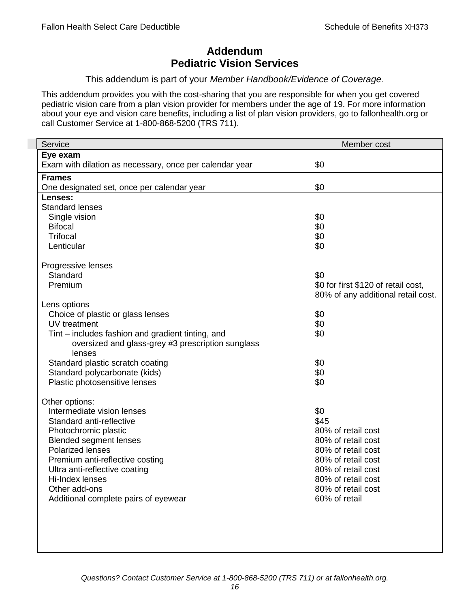## **Addendum Pediatric Vision Services**

#### This addendum is part of your *Member Handbook/Evidence of Coverage*.

This addendum provides you with the cost-sharing that you are responsible for when you get covered pediatric vision care from a plan vision provider for members under the age of 19. For more information about your eye and vision care benefits, including a list of plan vision providers, go to fallonhealth.org or call Customer Service at 1-800-868-5200 (TRS 711).

| Service                                                 | Member cost                         |
|---------------------------------------------------------|-------------------------------------|
| Eye exam                                                |                                     |
| Exam with dilation as necessary, once per calendar year | \$0                                 |
| <b>Frames</b>                                           |                                     |
| One designated set, once per calendar year              | \$0                                 |
| Lenses:                                                 |                                     |
| <b>Standard lenses</b>                                  |                                     |
| Single vision                                           | \$0                                 |
| <b>Bifocal</b>                                          | \$0                                 |
| <b>Trifocal</b>                                         | \$0                                 |
| Lenticular                                              | \$0                                 |
| Progressive lenses                                      |                                     |
| Standard                                                | \$0                                 |
| Premium                                                 | \$0 for first \$120 of retail cost, |
|                                                         | 80% of any additional retail cost.  |
| Lens options                                            |                                     |
| Choice of plastic or glass lenses                       | \$0                                 |
| UV treatment                                            | \$0                                 |
| Tint – includes fashion and gradient tinting, and       | \$0                                 |
| oversized and glass-grey #3 prescription sunglass       |                                     |
| lenses                                                  |                                     |
| Standard plastic scratch coating                        | \$0                                 |
| Standard polycarbonate (kids)                           | \$0                                 |
| Plastic photosensitive lenses                           | \$0                                 |
|                                                         |                                     |
| Other options:                                          |                                     |
| Intermediate vision lenses                              | \$0<br>\$45                         |
| Standard anti-reflective                                | 80% of retail cost                  |
| Photochromic plastic<br><b>Blended segment lenses</b>   | 80% of retail cost                  |
| <b>Polarized lenses</b>                                 | 80% of retail cost                  |
| Premium anti-reflective costing                         | 80% of retail cost                  |
| Ultra anti-reflective coating                           | 80% of retail cost                  |
| Hi-Index lenses                                         | 80% of retail cost                  |
| Other add-ons                                           | 80% of retail cost                  |
| Additional complete pairs of eyewear                    | 60% of retail                       |
|                                                         |                                     |
|                                                         |                                     |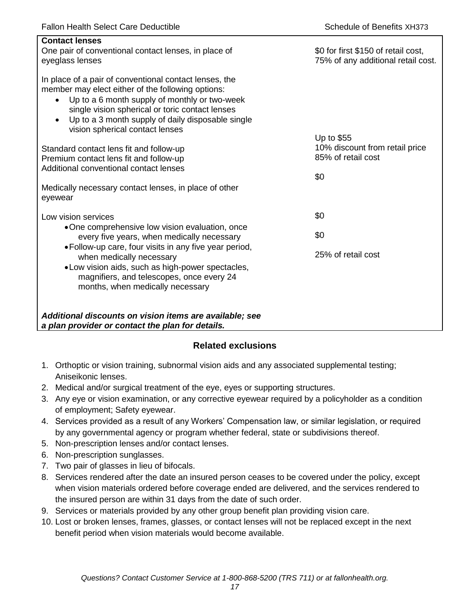| <b>Contact lenses</b><br>One pair of conventional contact lenses, in place of<br>eyeglass lenses                                                                                                                                                                                                                                  | \$0 for first \$150 of retail cost,<br>75% of any additional retail cost. |
|-----------------------------------------------------------------------------------------------------------------------------------------------------------------------------------------------------------------------------------------------------------------------------------------------------------------------------------|---------------------------------------------------------------------------|
| In place of a pair of conventional contact lenses, the<br>member may elect either of the following options:<br>Up to a 6 month supply of monthly or two-week<br>$\bullet$<br>single vision spherical or toric contact lenses<br>Up to a 3 month supply of daily disposable single<br>$\bullet$<br>vision spherical contact lenses | Up to \$55                                                                |
| Standard contact lens fit and follow-up                                                                                                                                                                                                                                                                                           | 10% discount from retail price                                            |
| Premium contact lens fit and follow-up                                                                                                                                                                                                                                                                                            | 85% of retail cost                                                        |
| Additional conventional contact lenses                                                                                                                                                                                                                                                                                            | \$0                                                                       |
| Medically necessary contact lenses, in place of other<br>eyewear                                                                                                                                                                                                                                                                  |                                                                           |
| Low vision services                                                                                                                                                                                                                                                                                                               | \$0                                                                       |
| •One comprehensive low vision evaluation, once<br>every five years, when medically necessary                                                                                                                                                                                                                                      | \$0                                                                       |
| • Follow-up care, four visits in any five year period,<br>when medically necessary<br>• Low vision aids, such as high-power spectacles,<br>magnifiers, and telescopes, once every 24<br>months, when medically necessary                                                                                                          | 25% of retail cost                                                        |
| Additional discounts on vision items are available; see<br>a plan provider or contact the plan for details.                                                                                                                                                                                                                       |                                                                           |

## **Related exclusions**

- 1. Orthoptic or vision training, subnormal vision aids and any associated supplemental testing; Aniseikonic lenses.
- 2. Medical and/or surgical treatment of the eye, eyes or supporting structures.
- 3. Any eye or vision examination, or any corrective eyewear required by a policyholder as a condition of employment; Safety eyewear.
- 4. Services provided as a result of any Workers' Compensation law, or similar legislation, or required by any governmental agency or program whether federal, state or subdivisions thereof.
- 5. Non-prescription lenses and/or contact lenses.
- 6. Non-prescription sunglasses.
- 7. Two pair of glasses in lieu of bifocals.
- 8. Services rendered after the date an insured person ceases to be covered under the policy, except when vision materials ordered before coverage ended are delivered, and the services rendered to the insured person are within 31 days from the date of such order.
- 9. Services or materials provided by any other group benefit plan providing vision care.
- 10. Lost or broken lenses, frames, glasses, or contact lenses will not be replaced except in the next benefit period when vision materials would become available.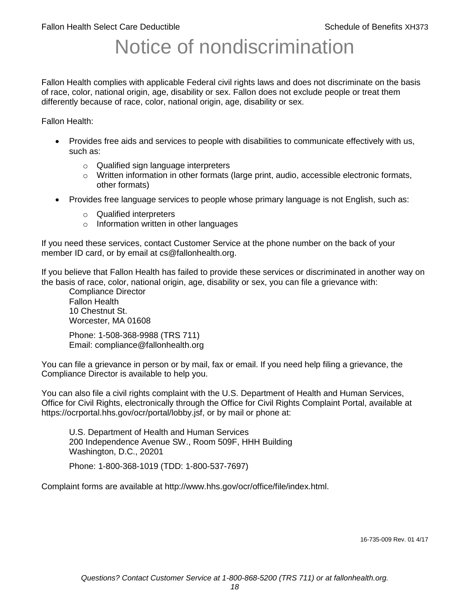# Notice of nondiscrimination

Fallon Health complies with applicable Federal civil rights laws and does not discriminate on the basis of race, color, national origin, age, disability or sex. Fallon does not exclude people or treat them differently because of race, color, national origin, age, disability or sex.

Fallon Health:

- Provides free aids and services to people with disabilities to communicate effectively with us, such as:
	- o Qualified sign language interpreters
	- $\circ$  Written information in other formats (large print, audio, accessible electronic formats, other formats)
- Provides free language services to people whose primary language is not English, such as:
	- o Qualified interpreters
	- o Information written in other languages

If you need these services, contact Customer Service at the phone number on the back of your member ID card, or by email at cs@fallonhealth.org.

If you believe that Fallon Health has failed to provide these services or discriminated in another way on the basis of race, color, national origin, age, disability or sex, you can file a grievance with:

Compliance Director Fallon Health 10 Chestnut St. Worcester, MA 01608

Phone: 1-508-368-9988 (TRS 711) Email: compliance@fallonhealth.org

You can file a grievance in person or by mail, fax or email. If you need help filing a grievance, the Compliance Director is available to help you.

You can also file a civil rights complaint with the U.S. Department of Health and Human Services, Office for Civil Rights, electronically through the Office for Civil Rights Complaint Portal, available at https://ocrportal.hhs.gov/ocr/portal/lobby.jsf, or by mail or phone at:

U.S. Department of Health and Human Services 200 Independence Avenue SW., Room 509F, HHH Building Washington, D.C., 20201

Phone: 1-800-368-1019 (TDD: 1-800-537-7697)

Complaint forms are available at http://www.hhs.gov/ocr/office/file/index.html.

16-735-009 Rev. 01 4/17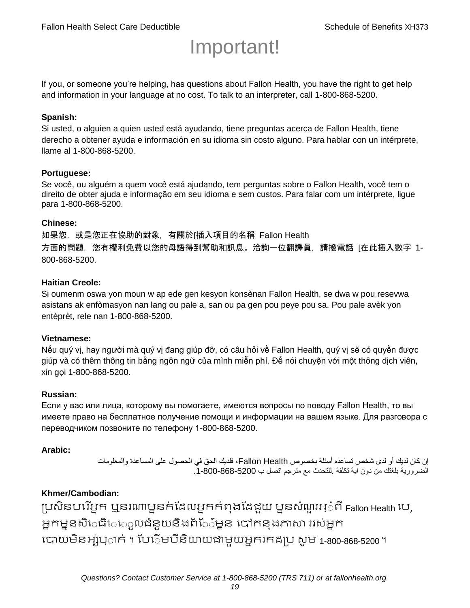# Important!

If you, or someone you're helping, has questions about Fallon Health, you have the right to get help and information in your language at no cost. To talk to an interpreter, call 1-800-868-5200.

#### **Spanish:**

Si usted, o alguien a quien usted está ayudando, tiene preguntas acerca de Fallon Health, tiene derecho a obtener ayuda e información en su idioma sin costo alguno. Para hablar con un intérprete, llame al 1-800-868-5200.

#### **Portuguese:**

Se você, ou alguém a quem você está ajudando, tem perguntas sobre o Fallon Health, você tem o direito de obter ajuda e informação em seu idioma e sem custos. Para falar com um intérprete, ligue para 1-800-868-5200.

#### **Chinese:**

如果您,或是您正在協助的對象,有關於[插入項目的名稱 Fallon Health 方面的問題, 您有權利免費以您的母語得到幫助和訊息。洽詢一位翻譯員, 請撥電話 [在此插入數字 1-800-868-5200.

#### **Haitian Creole:**

Si oumenm oswa yon moun w ap ede gen kesyon konsènan Fallon Health, se dwa w pou resevwa asistans ak enfòmasyon nan lang ou pale a, san ou pa gen pou peye pou sa. Pou pale avèk yon entèprèt, rele nan 1-800-868-5200.

#### **Vietnamese:**

Nếu quý vị, hay người mà quý vị đang giúp đỡ, có câu hỏi về Fallon Health, quý vị sẽ có quyền được giúp và có thêm thông tin bằng ngôn ngữ của mình miễn phí. Để nói chuyện với một thông dịch viên, xin gọi 1-800-868-5200.

#### **Russian:**

Если у вас или лица, которому вы помогаете, имеются вопросы по поводу Fallon Health, то вы имеете право на бесплатное получение помощи и информации на вашем языке. Для разговора с переводчиком позвоните по телефону 1-800-868-5200.

#### **Arabic:**

إن كان لديك أو لدى شخص تساعده أسئلة بخصوص Health Fallon، فلديك الحق في الحصول على المساعدة والمعلومات الضرورية بلغتك من دون اية تكلفة .للتحدث مع مترجم اتصل ب .1-800-868-5200

## **Khmer/Cambodian:**

ប្រសិនបរើអ្នក ឬនរណាម្ននក់ដែលអ្នកកំពុងដែជយ ម្ននសំណួរអ្៎ពី Fallon Health រប, អ្នកម្ននសិេធិេ្រុលជំនួយនិងព័ែ៌ម្នន បៅកនុងភាសា ររស់អ្នក រោយម្ិនអ្ស់រ្ំ ក់ ។ ដររំម្ រនី ិយាយជាម្ួយអ្នក កែប្រ សូ ម្ 1-800-868-5200 ។